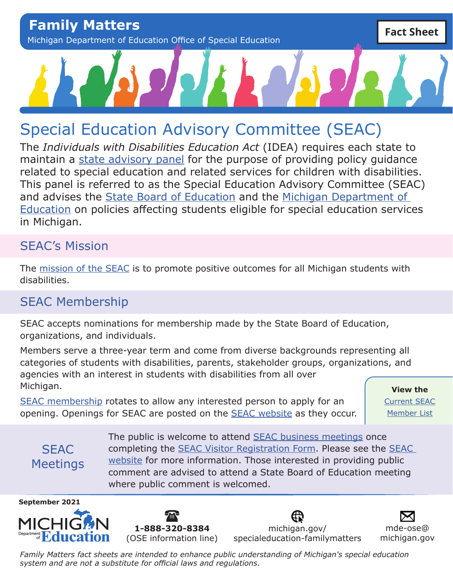# Special Education Advisory Committee (SEAC)

The *Individuals with Disabilities Education Act* (IDEA) requires each state to maintain a [state advisory panel](https://sites.ed.gov/idea/regs/b/b/300.167) for the purpose of providing policy guidance related to special education and related services for children with disabilities. This panel is referred to as the Special Education Advisory Committee (SEAC) and advises the [State Board of Education](https://www.michigan.gov/mde/0,4615,7-140-5373---,00.html) and the [Michigan Department of](https://www.michigan.gov/mde/)  [Education](https://www.michigan.gov/mde/) on policies affecting students eligible for special education services in Michigan.

#### SEAC's Mission

The [mission of the SEAC](https://www.michigan.gov/mde/0,4615,7-140-6598_88192---,00.html) is to promote positive outcomes for all Michigan students with disabilities.

### SEAC Membership

SEAC accepts nominations for membership made by the State Board of Education, organizations, and individuals.

Members serve a three-year term and come from diverse backgrounds representing all categories of students with disabilities, parents, stakeholder groups, organizations, and agencies with an interest in students with disabilities from all over Michigan.

[SEAC membership](https://www.michigan.gov/documents/mde/Membership_in_MI_SEAC_686469_7.pdf) rotates to allow any interested person to apply for an opening. Openings for SEAC are posted on the [SEAC website](https://www.michigan.gov/mde/0,4615,7-140-6598_88192---,00.html) as they occur.

**View the**  [Current SEAC](https://www.michigan.gov/documents/mde/SEAC_MemberList_664137_7.pdf) [Member List](https://www.michigan.gov/documents/mde/SEAC_MemberList_664137_7.pdf)

**SFAC** Meetings The public is welcome to attend [SEAC business meetings](https://www.michigan.gov/mde/0,4615,7-140-6598_88192---,00.html) once completing the [SEAC Visitor Registration Form.](https://www.michigan.gov/documents/mde/SEAC_VisitorRegForm_699732_7.pdf) Please see the [SEAC](https://www.michigan.gov/mde/0,4615,7-140-6598_88192---,00.html)  [website](https://www.michigan.gov/mde/0,4615,7-140-6598_88192---,00.html) for more information. Those interested in providing public comment are advised to attend a State Board of Education meeting where public comment is welcomed.





[michigan.gov/](http://michigan.gov/specialeducation-familymatters) [specialeducation-familymatters](http://michigan.gov/specialeducation-familymatters)

[mde-ose@](mailto:mde-ose%40michigan.gov?subject=) [michigan.gov](mailto:mde-ose%40michigan.gov?subject=)

*Family Matters fact sheets are intended to enhance public understanding of Michigan's special education system and are not a substitute for official laws and regulations.*